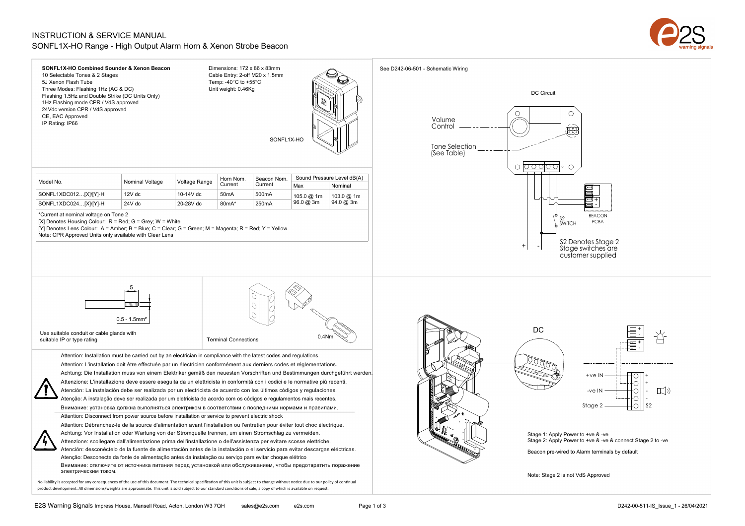## INSTRUCTION & SERVICE MANUAL SONFL1X-HO Range - High Output Alarm Horn & Xenon Strobe Beacon



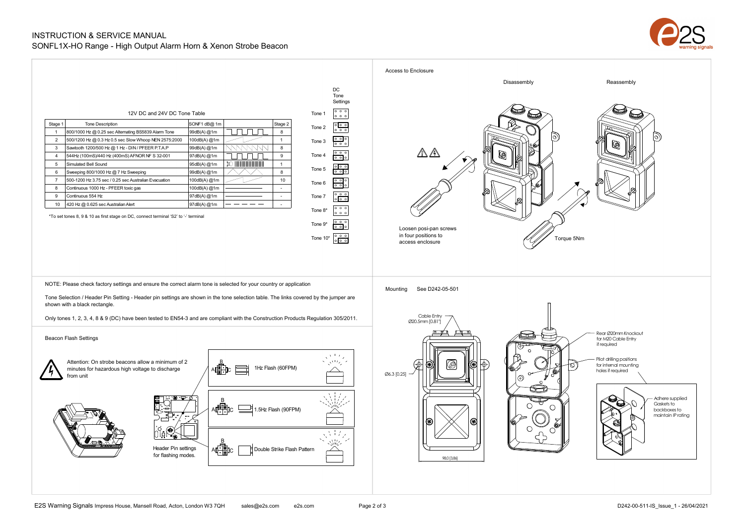